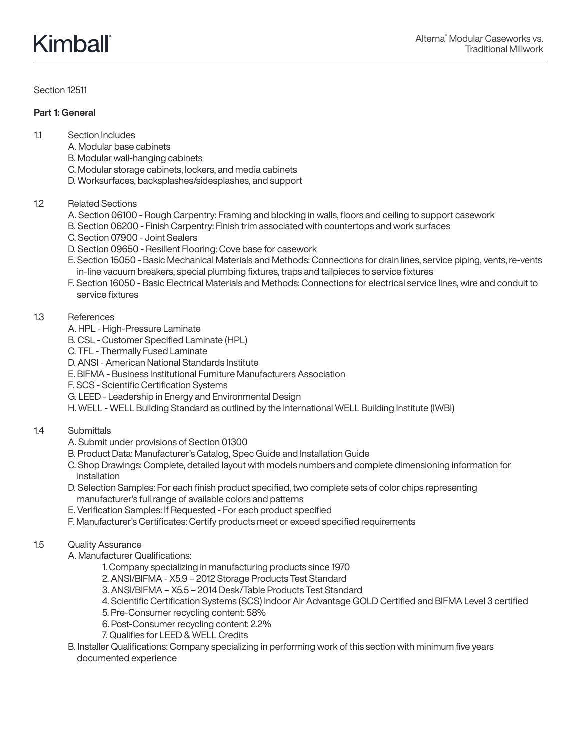Section 12511

## Part 1: General

- 1.1 Section Includes
	- A. Modular base cabinets
	- B. Modular wall-hanging cabinets
	- C. Modular storage cabinets, lockers, and media cabinets
	- D. Worksurfaces, backsplashes/sidesplashes, and support
- 1.2 Related Sections
	- A. Section 06100 Rough Carpentry: Framing and blocking in walls, floors and ceiling to support casework
	- B. Section 06200 Finish Carpentry: Finish trim associated with countertops and work surfaces
	- C. Section 07900 Joint Sealers
	- D. Section 09650 Resilient Flooring: Cove base for casework
	- E. Section 15050 Basic Mechanical Materials and Methods: Connections for drain lines, service piping, vents, re-vents in-line vacuum breakers, special plumbing fixtures, traps and tailpieces to service fixtures
	- F. Section 16050 Basic Electrical Materials and Methods: Connections for electrical service lines, wire and conduit to service fixtures

#### 1.3 References

- A. HPL High-Pressure Laminate
- B. CSL Customer Specified Laminate (HPL)
- C. TFL Thermally Fused Laminate
- D. ANSI American National Standards Institute
- E. BIFMA Business Institutional Furniture Manufacturers Association
- F. SCS Scientific Certification Systems
- G. LEED Leadership in Energy and Environmental Design
- H. WELL WELL Building Standard as outlined by the International WELL Building Institute (IWBI)
- 1.4 Submittals
	- A. Submit under provisions of Section 01300
	- B. Product Data: Manufacturer's Catalog, Spec Guide and Installation Guide
	- C. Shop Drawings: Complete, detailed layout with models numbers and complete dimensioning information for installation
	- D. Selection Samples: For each finish product specified, two complete sets of color chips representing manufacturer's full range of available colors and patterns
	- E. Verification Samples: If Requested For each product specified
	- F. Manufacturer's Certificates: Certify products meet or exceed specified requirements
- 1.5 Quality Assurance

A. Manufacturer Qualifications:

- 1. Company specializing in manufacturing products since 1970
- 2. ANSI/BIFMA X5.9 2012 Storage Products Test Standard
- 3. ANSI/BIFMA X5.5 2014 Desk/Table Products Test Standard
- 4. Scientific Certification Systems (SCS) Indoor Air Advantage GOLD Certified and BIFMA Level 3 certified
- 5. Pre-Consumer recycling content: 58%
- 6. Post-Consumer recycling content: 2.2%
- 7. Qualifies for LEED & WELL Credits

B. Installer Qualifications: Company specializing in performing work of this section with minimum five years documented experience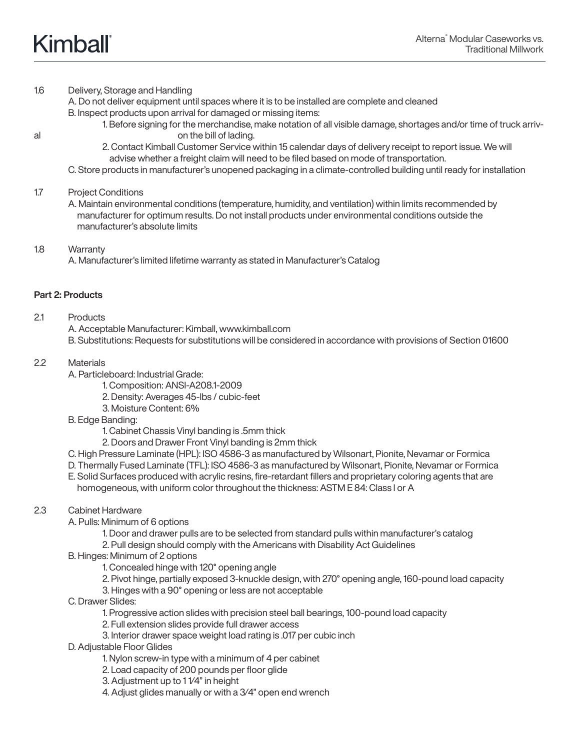## 1.6 Delivery, Storage and Handling

A. Do not deliver equipment until spaces where it is to be installed are complete and cleaned B. Inspect products upon arrival for damaged or missing items:

- 1. Before signing for the merchandise, make notation of all visible damage, shortages and/or time of truck arrival on the bill of lading.
	- 2. Contact Kimball Customer Service within 15 calendar days of delivery receipt to report issue. We will advise whether a freight claim will need to be filed based on mode of transportation.
	- C. Store products in manufacturer's unopened packaging in a climate-controlled building until ready for installation

# 1.7 Project Conditions

A. Maintain environmental conditions (temperature, humidity, and ventilation) within limits recommended by manufacturer for optimum results. Do not install products under environmental conditions outside the manufacturer's absolute limits

## 1.8 Warranty

A. Manufacturer's limited lifetime warranty as stated in Manufacturer's Catalog

## Part 2: Products

## 2.1 Products

A. Acceptable Manufacturer: Kimball, www.kimball.com

B. Substitutions: Requests for substitutions will be considered in accordance with provisions of Section 01600

## 2.2 Materials

- A. Particleboard: Industrial Grade:
	- 1. Composition: ANSI-A208.1-2009
	- 2. Density: Averages 45-lbs / cubic-feet
	- 3. Moisture Content: 6%
- B. Edge Banding:
	- 1. Cabinet Chassis Vinyl banding is .5mm thick
	- 2. Doors and Drawer Front Vinyl banding is 2mm thick
- C. High Pressure Laminate (HPL): ISO 4586-3 as manufactured by Wilsonart, Pionite, Nevamar or Formica
- D. Thermally Fused Laminate (TFL): ISO 4586-3 as manufactured by Wilsonart, Pionite, Nevamar or Formica
- E. Solid Surfaces produced with acrylic resins, fire-retardant fillers and proprietary coloring agents that are homogeneous, with uniform color throughout the thickness: ASTM E 84: Class I or A

## 2.3 Cabinet Hardware

- A. Pulls: Minimum of 6 options
	- 1. Door and drawer pulls are to be selected from standard pulls within manufacturer's catalog
	- 2. Pull design should comply with the Americans with Disability Act Guidelines
- B. Hinges: Minimum of 2 options
	- 1. Concealed hinge with 120° opening angle
	- 2. Pivot hinge, partially exposed 3-knuckle design, with 270° opening angle, 160-pound load capacity
	- 3. Hinges with a 90° opening or less are not acceptable
- C. Drawer Slides:
	- 1. Progressive action slides with precision steel ball bearings, 100-pound load capacity
	- 2. Full extension slides provide full drawer access
	- 3. Interior drawer space weight load rating is .017 per cubic inch
- D. Adjustable Floor Glides
	- 1. Nylon screw-in type with a minimum of 4 per cabinet
	- 2. Load capacity of 200 pounds per floor glide
	- 3. Adjustment up to 11/4" in height
	- 4. Adjust glides manually or with a 3⁄4" open end wrench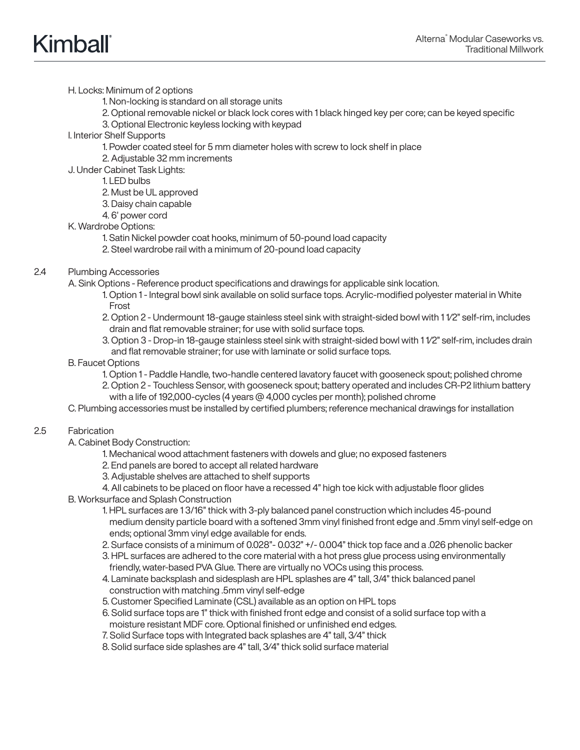

### H. Locks: Minimum of 2 options

- 1. Non-locking is standard on all storage units
- 2. Optional removable nickel or black lock cores with 1 black hinged key per core; can be keyed specific
- 3. Optional Electronic keyless locking with keypad
- I. Interior Shelf Supports
	- 1. Powder coated steel for 5 mm diameter holes with screw to lock shelf in place
	- 2. Adjustable 32 mm increments
- J. Under Cabinet Task Lights:
	- 1. LED bulbs
		- 2. Must be UL approved
		- 3. Daisy chain capable
	- 4. 6' power cord
- K. Wardrobe Options:
	- 1. Satin Nickel powder coat hooks, minimum of 50-pound load capacity
	- 2. Steel wardrobe rail with a minimum of 20-pound load capacity

#### 2.4 Plumbing Accessories

A. Sink Options - Reference product specifications and drawings for applicable sink location.

- 1. Option 1 Integral bowl sink available on solid surface tops. Acrylic-modified polyester material in White Frost
- 2. Option 2 Undermount 18-gauge stainless steel sink with straight-sided bowl with 1 1⁄2" self-rim, includes drain and flat removable strainer; for use with solid surface tops.
- 3. Option 3 Drop-in 18-gauge stainless steel sink with straight-sided bowl with 1 1⁄2" self-rim, includes drain and flat removable strainer; for use with laminate or solid surface tops.

#### B. Faucet Options

- 1. Option 1 Paddle Handle, two-handle centered lavatory faucet with gooseneck spout; polished chrome
- 2. Option 2 Touchless Sensor, with gooseneck spout; battery operated and includes CR-P2 lithium battery with a life of 192,000-cycles (4 years @ 4,000 cycles per month); polished chrome
- C. Plumbing accessories must be installed by certified plumbers; reference mechanical drawings for installation

#### 2.5 Fabrication

A. Cabinet Body Construction:

- 1. Mechanical wood attachment fasteners with dowels and glue; no exposed fasteners
- 2. End panels are bored to accept all related hardware
- 3. Adjustable shelves are attached to shelf supports

4. All cabinets to be placed on floor have a recessed 4" high toe kick with adjustable floor glides

- B. Worksurface and Splash Construction
	- 1. HPL surfaces are 1 3/16" thick with 3-ply balanced panel construction which includes 45-pound medium density particle board with a softened 3mm vinyl finished front edge and .5mm vinyl self-edge on ends; optional 3mm vinyl edge available for ends.
	- 2. Surface consists of a minimum of 0.028"- 0.032" +/- 0.004" thick top face and a .026 phenolic backer
	- 3. HPL surfaces are adhered to the core material with a hot press glue process using environmentally friendly, water-based PVA Glue. There are virtually no VOCs using this process.
	- 4. Laminate backsplash and sidesplash are HPL splashes are 4" tall, 3/4" thick balanced panel construction with matching .5mm vinyl self-edge
	- 5. Customer Specified Laminate (CSL) available as an option on HPL tops
	- 6. Solid surface tops are 1" thick with finished front edge and consist of a solid surface top with a moisture resistant MDF core. Optional finished or unfinished end edges.
	- 7. Solid Surface tops with Integrated back splashes are 4" tall, 3⁄4" thick
	- 8. Solid surface side splashes are 4" tall, 3⁄4" thick solid surface material